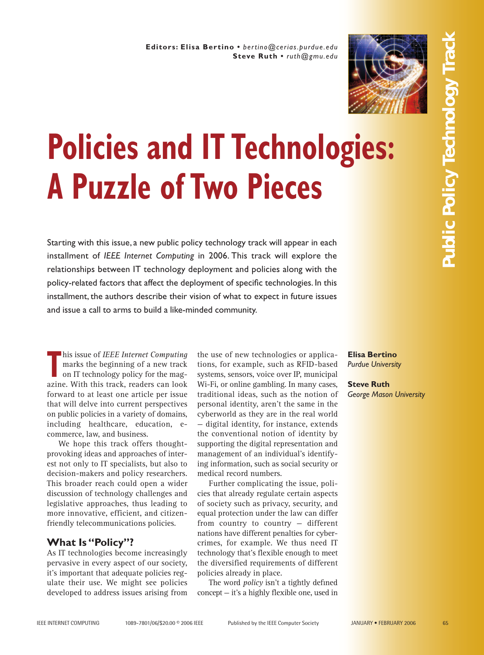

# **Policies and IT Technologies: A Puzzle of Two Pieces IEEE INTERNET COMPUTING 1089-7801/06/2006 2006 IEEE COMPUTING 1089-7801/06/1069**<br> **A PUZZIe of Two Pieces**<br> **Examinent of the Internet Computer Society Advances of the IEEE COMPUTING 1089-7802 • FEBRUARY • FEBRUARY • FEBR**

Starting with this issue, a new public policy technology track will appear in each installment of *IEEE Internet Computing* in 2006. This track will explore the relationships between IT technology deployment and policies along with the policy-related factors that affect the deployment of specific technologies. In this installment, the authors describe their vision of what to expect in future issues and issue a call to arms to build a like-minded community.

This issue of *IEEE Internet Computing*<br>
marks the beginning of a new track<br>
on IT technology policy for the mag-<br>
azine. With this track, readers can look his issue of *IEEE Internet Computing* marks the beginning of a new track on IT technology policy for the magforward to at least one article per issue that will delve into current perspectives on public policies in a variety of domains, including healthcare, education, ecommerce, law, and business.

We hope this track offers thoughtprovoking ideas and approaches of interest not only to IT specialists, but also to decision-makers and policy researchers. This broader reach could open a wider discussion of technology challenges and legislative approaches, thus leading to more innovative, efficient, and citizenfriendly telecommunications policies.

# **What Is "Policy"?**

As IT technologies become increasingly pervasive in every aspect of our society, it's important that adequate policies regulate their use. We might see policies developed to address issues arising from the use of new technologies or applications, for example, such as RFID-based systems, sensors, voice over IP, municipal Wi-Fi, or online gambling. In many cases, traditional ideas, such as the notion of personal identity, aren't the same in the cyberworld as they are in the real world — digital identity, for instance, extends the conventional notion of identity by supporting the digital representation and management of an individual's identifying information, such as social security or medical record numbers.

Further complicating the issue, policies that already regulate certain aspects of society such as privacy, security, and equal protection under the law can differ from country to country — different nations have different penalties for cybercrimes, for example. We thus need IT technology that's flexible enough to meet the diversified requirements of different policies already in place.

The word *policy* isn't a tightly defined concept — it's a highly flexible one, used in **Elisa Bertino** *Purdue University*

**Steve Ruth** *George Mason University*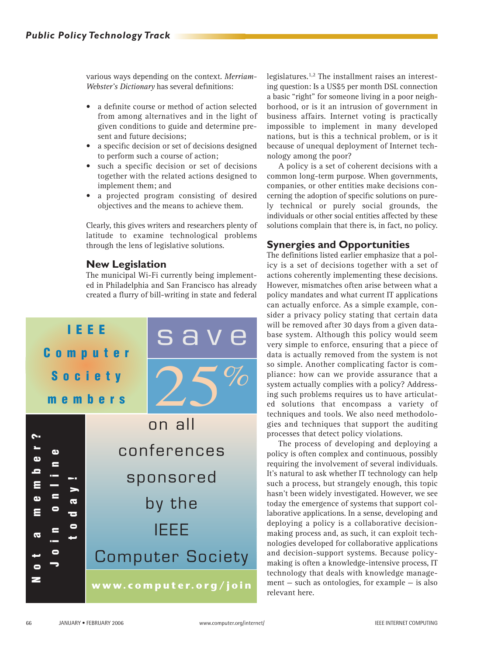various ways depending on the context. *Merriam-Webster's Dictionary* has several definitions:

- a definite course or method of action selected from among alternatives and in the light of given conditions to guide and determine present and future decisions;
- a specific decision or set of decisions designed to perform such a course of action;
- such a specific decision or set of decisions together with the related actions designed to implement them; and
- a projected program consisting of desired objectives and the means to achieve them.

Clearly, this gives writers and researchers plenty of latitude to examine technological problems through the lens of legislative solutions.

## **New Legislation**

The municipal Wi-Fi currently being implemented in Philadelphia and San Francisco has already created a flurry of bill-writing in state and federal



legislatures.1,2 The installment raises an interesting question: Is a US\$5 per month DSL connection a basic "right" for someone living in a poor neighborhood, or is it an intrusion of government in business affairs. Internet voting is practically impossible to implement in many developed nations, but is this a technical problem, or is it because of unequal deployment of Internet technology among the poor?

A policy is a set of coherent decisions with a common long-term purpose. When governments, companies, or other entities make decisions concerning the adoption of specific solutions on purely technical or purely social grounds, the individuals or other social entities affected by these solutions complain that there is, in fact, no policy.

# **Synergies and Opportunities**

The definitions listed earlier emphasize that a policy is a set of decisions together with a set of actions coherently implementing these decisions. However, mismatches often arise between what a policy mandates and what current IT applications can actually enforce. As a simple example, consider a privacy policy stating that certain data will be removed after 30 days from a given database system. Although this policy would seem very simple to enforce, ensuring that a piece of data is actually removed from the system is not so simple. Another complicating factor is compliance: how can we provide assurance that a system actually complies with a policy? Addressing such problems requires us to have articulated solutions that encompass a variety of techniques and tools. We also need methodologies and techniques that support the auditing processes that detect policy violations.

The process of developing and deploying a policy is often complex and continuous, possibly requiring the involvement of several individuals. It's natural to ask whether IT technology can help such a process, but strangely enough, this topic hasn't been widely investigated. However, we see today the emergence of systems that support collaborative applications. In a sense, developing and deploying a policy is a collaborative decisionmaking process and, as such, it can exploit technologies developed for collaborative applications and decision-support systems. Because policymaking is often a knowledge-intensive process, IT technology that deals with knowledge management — such as ontologies, for example — is also relevant here.